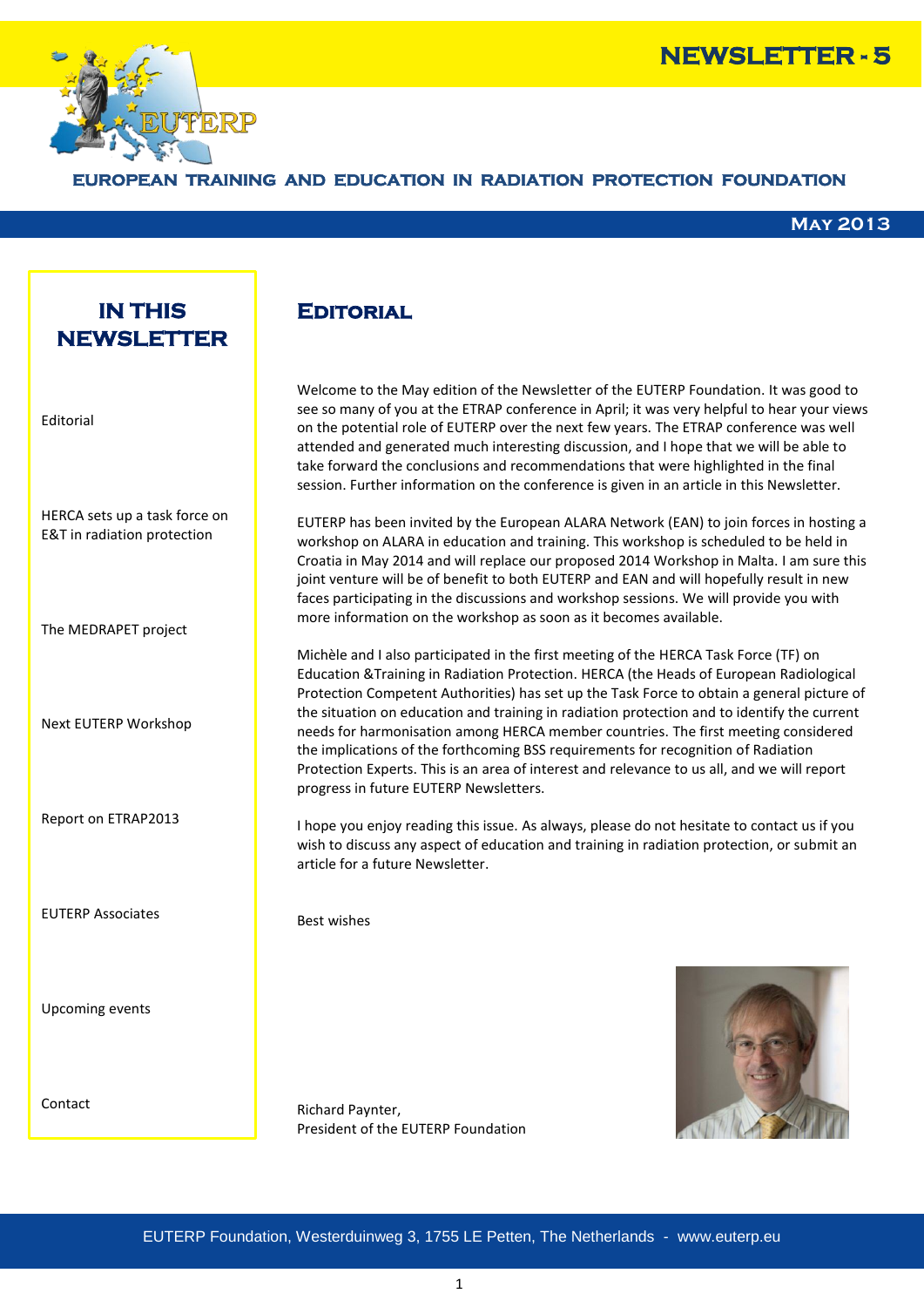



### **EROPEAN TRAINING AND EDUCATION IN RADIATION PROTECTION FOUNDATION**

#### **May 2013**

# **IN THIS NEWSLETTER**

Editorial

HERCA sets up a task force on E&T in radiation protection

The MEDRAPET project

Next EUTERP Workshop

Report on ETRAP2013

EUTERP Associates

Upcoming events

Contact

**Editorial** 

Welcome to the May edition of the Newsletter of the EUTERP Foundation. It was good to see so many of you at the ETRAP conference in April; it was very helpful to hear your views on the potential role of EUTERP over the next few years. The ETRAP conference was well attended and generated much interesting discussion, and I hope that we will be able to take forward the conclusions and recommendations that were highlighted in the final session. Further information on the conference is given in an article in this Newsletter.

EUTERP has been invited by the European ALARA Network (EAN) to join forces in hosting a workshop on ALARA in education and training. This workshop is scheduled to be held in Croatia in May 2014 and will replace our proposed 2014 Workshop in Malta. I am sure this joint venture will be of benefit to both EUTERP and EAN and will hopefully result in new faces participating in the discussions and workshop sessions. We will provide you with more information on the workshop as soon as it becomes available.

Michèle and I also participated in the first meeting of the HERCA Task Force (TF) on Education &Training in Radiation Protection. HERCA (the Heads of European Radiological Protection Competent Authorities) has set up the Task Force to obtain a general picture of the situation on education and training in radiation protection and to identify the current needs for harmonisation among HERCA member countries. The first meeting considered the implications of the forthcoming BSS requirements for recognition of Radiation Protection Experts. This is an area of interest and relevance to us all, and we will report progress in future EUTERP Newsletters.

I hope you enjoy reading this issue. As always, please do not hesitate to contact us if you wish to discuss any aspect of education and training in radiation protection, or submit an article for a future Newsletter.

Best wishes

Richard Paynter, President of the EUTERP Foundation

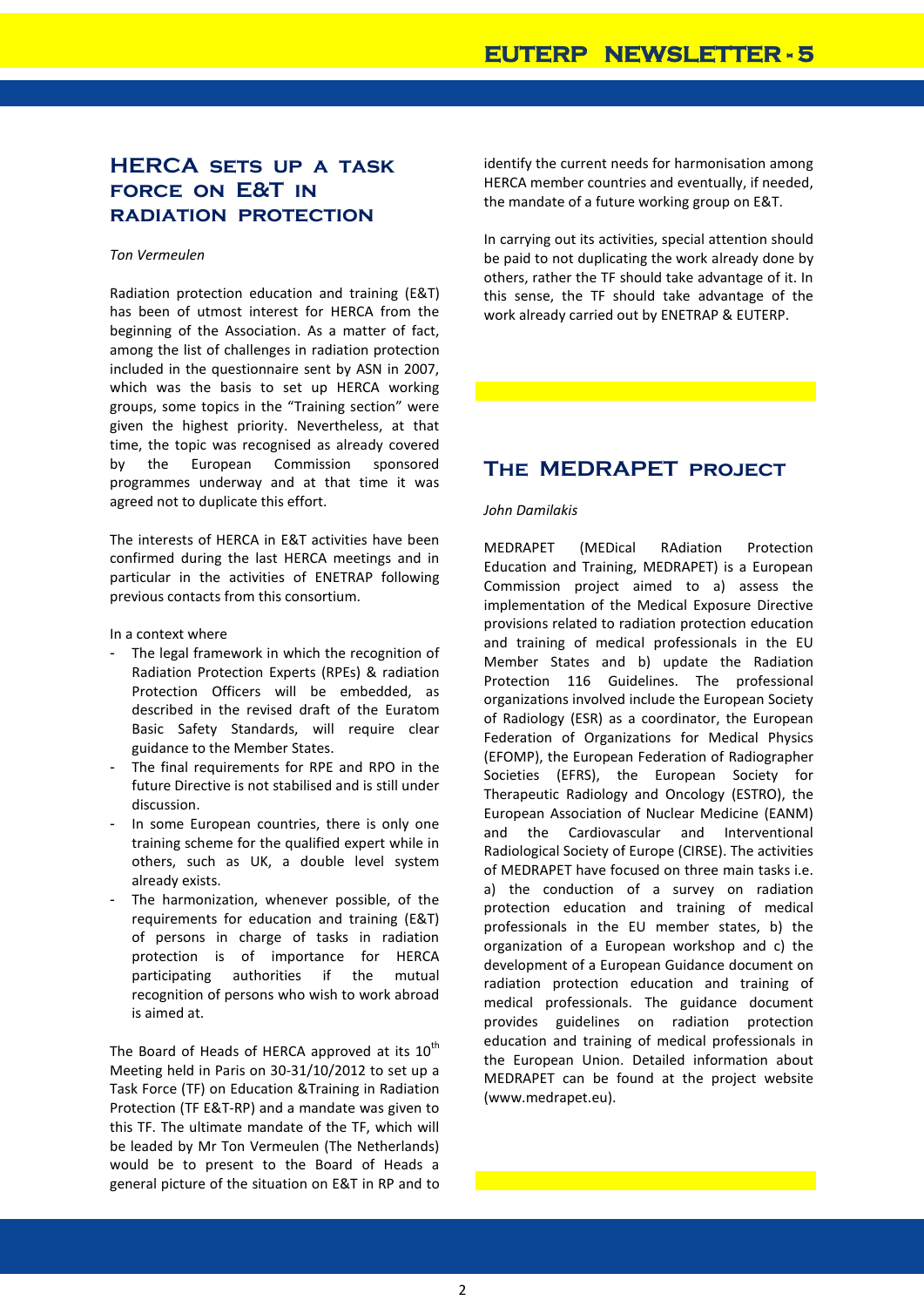# **HERCA sets up a task force on E&T in radiation protection**

#### *Ton Vermeulen*

Radiation protection education and training (E&T) has been of utmost interest for HERCA from the beginning of the Association. As a matter of fact, among the list of challenges in radiation protection included in the questionnaire sent by ASN in 2007, which was the basis to set up HERCA working groups, some topics in the "Training section" were given the highest priority. Nevertheless, at that time, the topic was recognised as already covered by the European Commission sponsored programmes underway and at that time it was agreed not to duplicate this effort.

The interests of HERCA in E&T activities have been confirmed during the last HERCA meetings and in particular in the activities of ENETRAP following previous contacts from this consortium.

In a context where

- The legal framework in which the recognition of Radiation Protection Experts (RPEs) & radiation Protection Officers will be embedded, as described in the revised draft of the Euratom Basic Safety Standards, will require clear guidance to the Member States.
- The final requirements for RPE and RPO in the future Directive is not stabilised and is still under discussion.
- In some European countries, there is only one training scheme for the qualified expert while in others, such as UK, a double level system already exists.
- The harmonization, whenever possible, of the requirements for education and training (E&T) of persons in charge of tasks in radiation protection is of importance for HERCA participating authorities if the mutual recognition of persons who wish to work abroad is aimed at.

The Board of Heads of HERCA approved at its  $10^{th}$ Meeting held in Paris on 30-31/10/2012 to set up a Task Force (TF) on Education &Training in Radiation Protection (TF E&T-RP) and a mandate was given to this TF. The ultimate mandate of the TF, which will be leaded by Mr Ton Vermeulen (The Netherlands) would be to present to the Board of Heads a general picture of the situation on E&T in RP and to identify the current needs for harmonisation among HERCA member countries and eventually, if needed, the mandate of a future working group on E&T.

In carrying out its activities, special attention should be paid to not duplicating the work already done by others, rather the TF should take advantage of it. In this sense, the TF should take advantage of the work already carried out by ENETRAP & EUTERP.

# **The MEDRAPET project**

#### *John Damilakis*

MEDRAPET (MEDical RAdiation Protection Education and Training, MEDRAPET) is a European Commission project aimed to a) assess the implementation of the Medical Exposure Directive provisions related to radiation protection education and training of medical professionals in the EU Member States and b) update the Radiation Protection 116 Guidelines. The professional organizations involved include the European Society of Radiology (ESR) as a coordinator, the European Federation of Organizations for Medical Physics (EFOMP), the European Federation of Radiographer Societies (EFRS), the European Society for Therapeutic Radiology and Oncology (ESTRO), the European Association of Nuclear Medicine (EANM) and the Cardiovascular and Interventional Radiological Society of Europe (CIRSE). The activities of MEDRAPET have focused on three main tasks i.e. a) the conduction of a survey on radiation protection education and training of medical professionals in the EU member states, b) the organization of a European workshop and c) the development of a European Guidance document on radiation protection education and training of medical professionals. The guidance document provides guidelines on radiation protection education and training of medical professionals in the European Union. Detailed information about MEDRAPET can be found at the project website (www.medrapet.eu).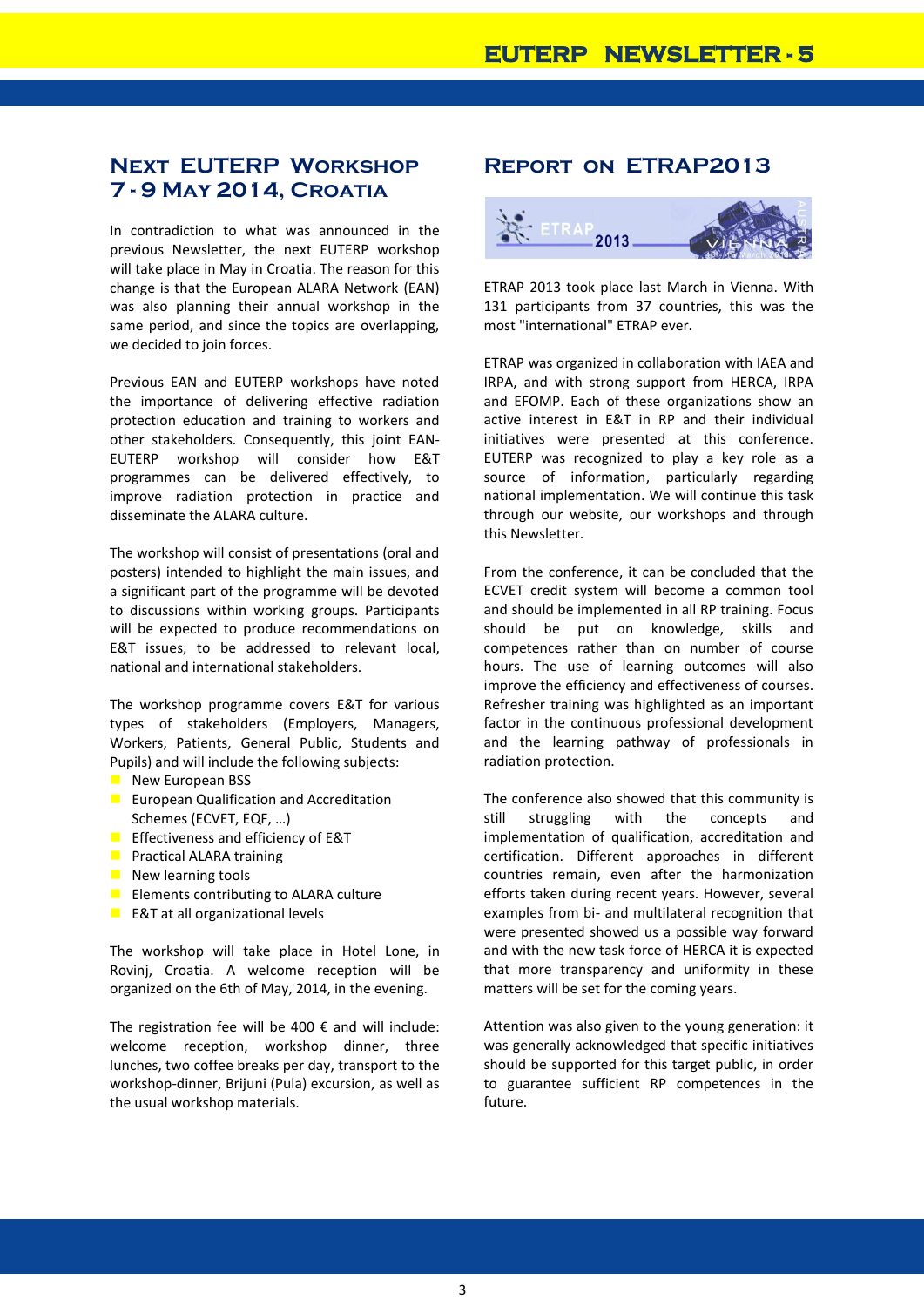# **Next EUTERP Workshop 7 - 9 May 2014, Croatia**

In contradiction to what was announced in the previous Newsletter, the next EUTERP workshop will take place in May in Croatia. The reason for this change is that the European ALARA Network (EAN) was also planning their annual workshop in the same period, and since the topics are overlapping, we decided to join forces.

Previous EAN and EUTERP workshops have noted the importance of delivering effective radiation protection education and training to workers and other stakeholders. Consequently, this joint EAN-EUTERP workshop will consider how E&T programmes can be delivered effectively, to improve radiation protection in practice and disseminate the ALARA culture.

The workshop will consist of presentations (oral and posters) intended to highlight the main issues, and a significant part of the programme will be devoted to discussions within working groups. Participants will be expected to produce recommendations on E&T issues, to be addressed to relevant local, national and international stakeholders.

The workshop programme covers E&T for various types of stakeholders (Employers, Managers, Workers, Patients, General Public, Students and Pupils) and will include the following subjects:

- $\blacksquare$  New European BSS
- **EU European Qualification and Accreditation** Schemes (ECVET, EQF, …)
- **Effectiveness and efficiency of E&T**
- **Practical ALARA training**
- $\blacksquare$  New learning tools
- **Elements contributing to ALARA culture**
- $E$  E&T at all organizational levels

The workshop will take place in Hotel Lone, in Rovinj, Croatia. A welcome reception will be organized on the 6th of May, 2014, in the evening.

The registration fee will be 400  $\epsilon$  and will include: welcome reception, workshop dinner, three lunches, two coffee breaks per day, transport to the workshop-dinner, Brijuni (Pula) excursion, as well as the usual workshop materials.

# **Report on ETRAP2013**



ETRAP 2013 took place last March in Vienna. With 131 participants from 37 countries, this was the most "international" ETRAP ever.

ETRAP was organized in collaboration with IAEA and IRPA, and with strong support from HERCA, IRPA and EFOMP. Each of these organizations show an active interest in E&T in RP and their individual initiatives were presented at this conference. EUTERP was recognized to play a key role as a source of information, particularly regarding national implementation. We will continue this task through our website, our workshops and through this Newsletter.

From the conference, it can be concluded that the ECVET credit system will become a common tool and should be implemented in all RP training. Focus should be put on knowledge, skills and competences rather than on number of course hours. The use of learning outcomes will also improve the efficiency and effectiveness of courses. Refresher training was highlighted as an important factor in the continuous professional development and the learning pathway of professionals in radiation protection.

The conference also showed that this community is still struggling with the concepts and implementation of qualification, accreditation and certification. Different approaches in different countries remain, even after the harmonization efforts taken during recent years. However, several examples from bi- and multilateral recognition that were presented showed us a possible way forward and with the new task force of HERCA it is expected that more transparency and uniformity in these matters will be set for the coming years.

Attention was also given to the young generation: it was generally acknowledged that specific initiatives should be supported for this target public, in order to guarantee sufficient RP competences in the future.